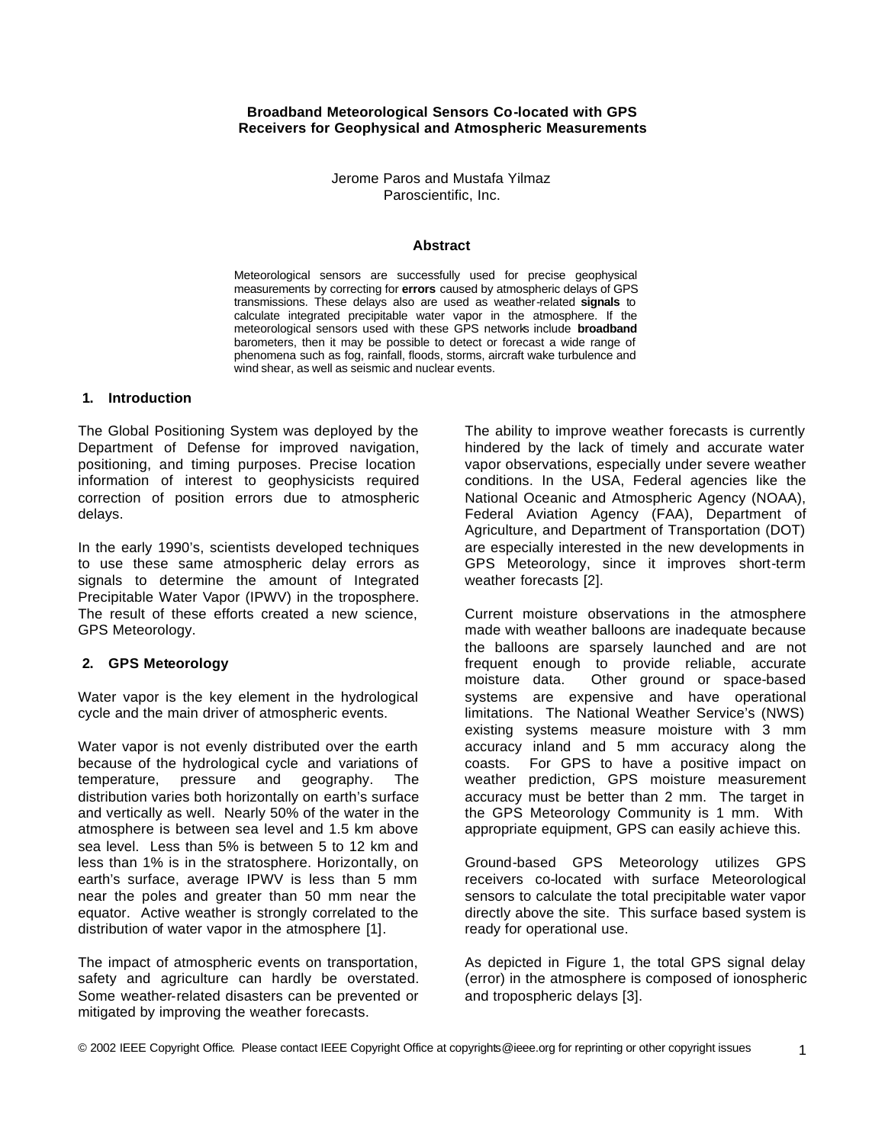## **Broadband Meteorological Sensors Co-located with GPS Receivers for Geophysical and Atmospheric Measurements**

Jerome Paros and Mustafa Yilmaz Paroscientific, Inc.

#### **Abstract**

Meteorological sensors are successfully used for precise geophysical measurements by correcting for **errors** caused by atmospheric delays of GPS transmissions. These delays also are used as weather-related **signals** to calculate integrated precipitable water vapor in the atmosphere. If the meteorological sensors used with these GPS networks include **broadband** barometers, then it may be possible to detect or forecast a wide range of phenomena such as fog, rainfall, floods, storms, aircraft wake turbulence and wind shear, as well as seismic and nuclear events.

### **1. Introduction**

The Global Positioning System was deployed by the Department of Defense for improved navigation, positioning, and timing purposes. Precise location information of interest to geophysicists required correction of position errors due to atmospheric delays.

In the early 1990's, scientists developed techniques to use these same atmospheric delay errors as signals to determine the amount of Integrated Precipitable Water Vapor (IPWV) in the troposphere. The result of these efforts created a new science, GPS Meteorology.

#### **2. GPS Meteorology**

Water vapor is the key element in the hydrological cycle and the main driver of atmospheric events.

Water vapor is not evenly distributed over the earth because of the hydrological cycle and variations of temperature, pressure and geography. The distribution varies both horizontally on earth's surface and vertically as well. Nearly 50% of the water in the atmosphere is between sea level and 1.5 km above sea level. Less than 5% is between 5 to 12 km and less than 1% is in the stratosphere. Horizontally, on earth's surface, average IPWV is less than 5 mm near the poles and greater than 50 mm near the equator. Active weather is strongly correlated to the distribution of water vapor in the atmosphere [1].

The impact of atmospheric events on transportation, safety and agriculture can hardly be overstated. Some weather-related disasters can be prevented or mitigated by improving the weather forecasts.

The ability to improve weather forecasts is currently hindered by the lack of timely and accurate water vapor observations, especially under severe weather conditions. In the USA, Federal agencies like the National Oceanic and Atmospheric Agency (NOAA), Federal Aviation Agency (FAA), Department of Agriculture, and Department of Transportation (DOT) are especially interested in the new developments in GPS Meteorology, since it improves short-term weather forecasts [2].

Current moisture observations in the atmosphere made with weather balloons are inadequate because the balloons are sparsely launched and are not frequent enough to provide reliable, accurate moisture data. Other ground or space-based systems are expensive and have operational limitations. The National Weather Service's (NWS) existing systems measure moisture with 3 mm accuracy inland and 5 mm accuracy along the coasts. For GPS to have a positive impact on weather prediction, GPS moisture measurement accuracy must be better than 2 mm. The target in the GPS Meteorology Community is 1 mm. With appropriate equipment, GPS can easily achieve this.

Ground-based GPS Meteorology utilizes GPS receivers co-located with surface Meteorological sensors to calculate the total precipitable water vapor directly above the site. This surface based system is ready for operational use.

As depicted in Figure 1, the total GPS signal delay (error) in the atmosphere is composed of ionospheric and tropospheric delays [3].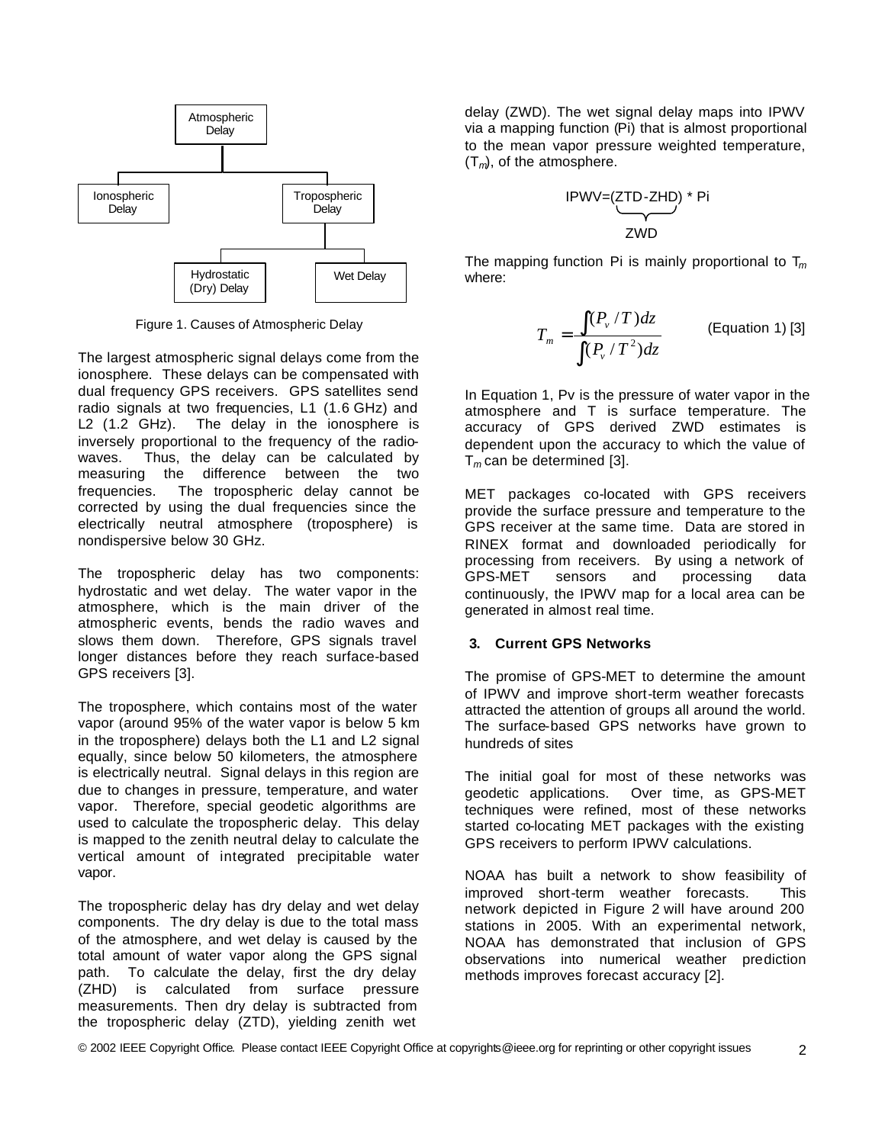

Figure 1. Causes of Atmospheric Delay

The largest atmospheric signal delays come from the ionosphere. These delays can be compensated with dual frequency GPS receivers. GPS satellites send radio signals at two frequencies, L1 (1.6 GHz) and L2 (1.2 GHz). The delay in the ionosphere is inversely proportional to the frequency of the radiowaves. Thus, the delay can be calculated by measuring the difference between the two frequencies. The tropospheric delay cannot be corrected by using the dual frequencies since the electrically neutral atmosphere (troposphere) is nondispersive below 30 GHz.

The tropospheric delay has two components: hydrostatic and wet delay. The water vapor in the atmosphere, which is the main driver of the atmospheric events, bends the radio waves and slows them down. Therefore, GPS signals travel longer distances before they reach surface-based GPS receivers [3].

The troposphere, which contains most of the water vapor (around 95% of the water vapor is below 5 km in the troposphere) delays both the L1 and L2 signal equally, since below 50 kilometers, the atmosphere is electrically neutral. Signal delays in this region are due to changes in pressure, temperature, and water vapor. Therefore, special geodetic algorithms are used to calculate the tropospheric delay. This delay is mapped to the zenith neutral delay to calculate the vertical amount of integrated precipitable water vapor.

The tropospheric delay has dry delay and wet delay components. The dry delay is due to the total mass of the atmosphere, and wet delay is caused by the total amount of water vapor along the GPS signal path. To calculate the delay, first the dry delay (ZHD) is calculated from surface pressure measurements. Then dry delay is subtracted from the tropospheric delay (ZTD), yielding zenith wet

delay (ZWD). The wet signal delay maps into IPWV via a mapping function (Pi) that is almost proportional to the mean vapor pressure weighted temperature, (T*m*), of the atmosphere.

$$
IPWV = (ZTD-ZHD) * Pi
$$
  
ZWD

The mapping function Pi is mainly proportional to T*<sup>m</sup>* where:

$$
T_m = \frac{\int (P_v/T)dz}{\int (P_v/T^2)dz}
$$
 (Equation 1) [3]

In Equation 1, Pv is the pressure of water vapor in the atmosphere and T is surface temperature. The accuracy of GPS derived ZWD estimates is dependent upon the accuracy to which the value of T*m* can be determined [3].

MET packages co-located with GPS receivers provide the surface pressure and temperature to the GPS receiver at the same time. Data are stored in RINEX format and downloaded periodically for processing from receivers. By using a network of GPS-MET sensors and processing data continuously, the IPWV map for a local area can be generated in almost real time.

### **3. Current GPS Networks**

The promise of GPS-MET to determine the amount of IPWV and improve short-term weather forecasts attracted the attention of groups all around the world. The surface-based GPS networks have grown to hundreds of sites

The initial goal for most of these networks was geodetic applications. Over time, as GPS-MET techniques were refined, most of these networks started co-locating MET packages with the existing GPS receivers to perform IPWV calculations.

NOAA has built a network to show feasibility of improved short-term weather forecasts. This network depicted in Figure 2 will have around 200 stations in 2005. With an experimental network, NOAA has demonstrated that inclusion of GPS observations into numerical weather prediction methods improves forecast accuracy [2].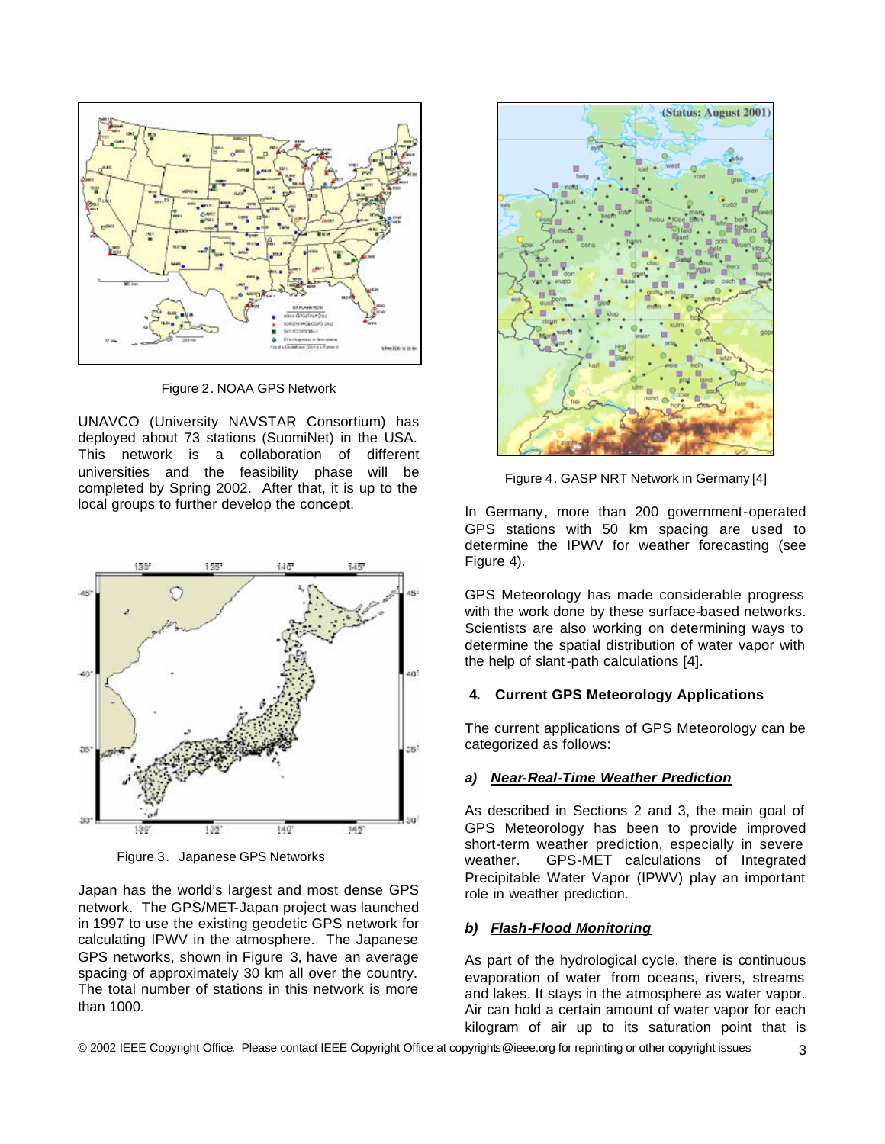

Figure 2. NOAA GPS Network

UNAVCO (University NAVSTAR Consortium) has deployed about 73 stations (SuomiNet) in the USA. This network is a collaboration of different universities and the feasibility phase will be completed by Spring 2002. After that, it is up to the local groups to further develop the concept.



Figure 3. Japanese GPS Networks

Japan has the world's largest and most dense GPS network. The GPS/MET-Japan project was launched in 1997 to use the existing geodetic GPS network for calculating IPWV in the atmosphere. The Japanese GPS networks, shown in Figure 3, have an average spacing of approximately 30 km all over the country. The total number of stations in this network is more than 1000.



Figure 4. GASP NRT Network in Germany [4]

In Germany, more than 200 government-operated GPS stations with 50 km spacing are used to determine the IPWV for weather forecasting (see Figure 4).

GPS Meteorology has made considerable progress with the work done by these surface-based networks. Scientists are also working on determining ways to determine the spatial distribution of water vapor with the help of slant-path calculations [4].

### **4. Current GPS Meteorology Applications**

The current applications of GPS Meteorology can be categorized as follows:

# *a) Near-Real-Time Weather Prediction*

As described in Sections 2 and 3, the main goal of GPS Meteorology has been to provide improved short-term weather prediction, especially in severe weather. GPS-MET calculations of Integrated Precipitable Water Vapor (IPWV) play an important role in weather prediction.

# *b) Flash-Flood Monitoring*

As part of the hydrological cycle, there is continuous evaporation of water from oceans, rivers, streams and lakes. It stays in the atmosphere as water vapor. Air can hold a certain amount of water vapor for each kilogram of air up to its saturation point that is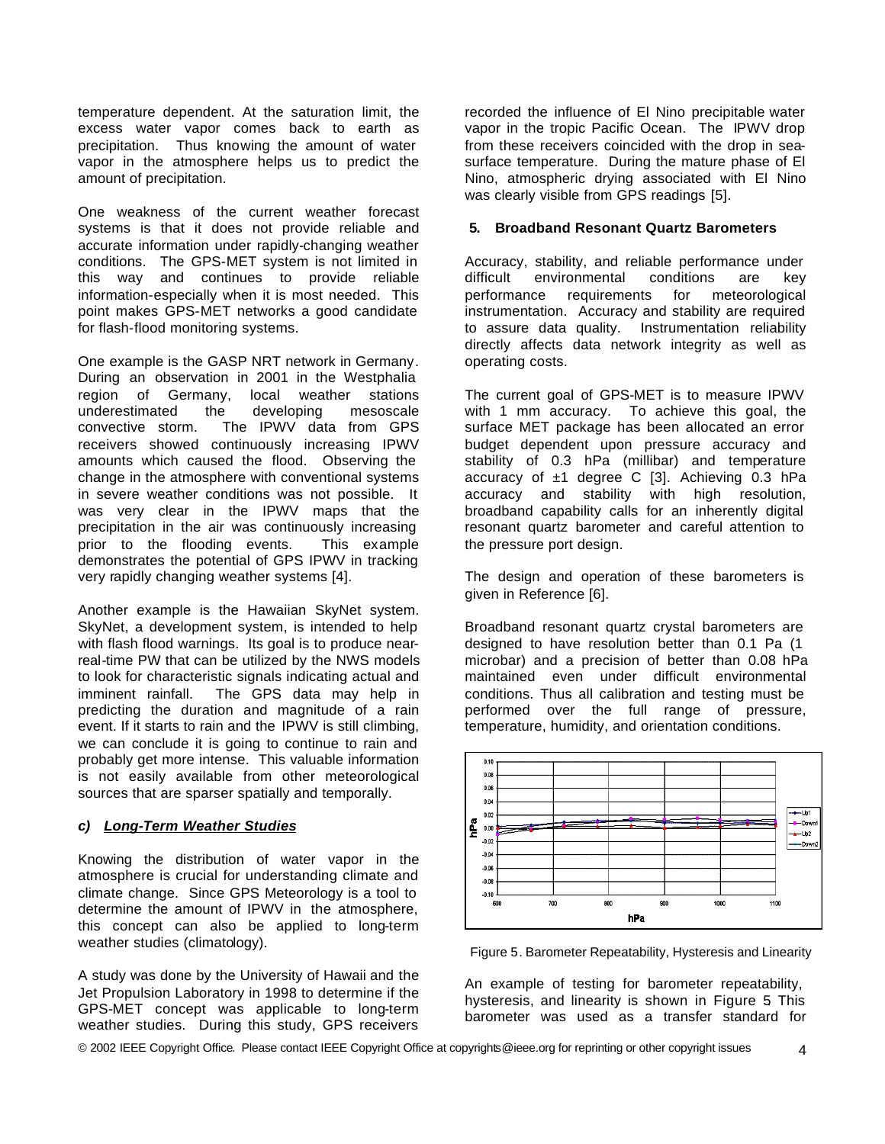temperature dependent. At the saturation limit, the excess water vapor comes back to earth as precipitation. Thus knowing the amount of water vapor in the atmosphere helps us to predict the amount of precipitation.

One weakness of the current weather forecast systems is that it does not provide reliable and accurate information under rapidly-changing weather conditions. The GPS-MET system is not limited in this way and continues to provide reliable information-especially when it is most needed. This point makes GPS-MET networks a good candidate for flash-flood monitoring systems.

One example is the GASP NRT network in Germany. During an observation in 2001 in the Westphalia region of Germany, local weather stations underestimated the developing mesoscale convective storm. The IPWV data from GPS receivers showed continuously increasing IPWV amounts which caused the flood. Observing the change in the atmosphere with conventional systems in severe weather conditions was not possible. It was very clear in the IPWV maps that the precipitation in the air was continuously increasing prior to the flooding events. This example demonstrates the potential of GPS IPWV in tracking very rapidly changing weather systems [4].

Another example is the Hawaiian SkyNet system. SkyNet, a development system, is intended to help with flash flood warnings. Its goal is to produce nearreal-time PW that can be utilized by the NWS models to look for characteristic signals indicating actual and imminent rainfall. The GPS data may help in predicting the duration and magnitude of a rain event. If it starts to rain and the IPWV is still climbing, we can conclude it is going to continue to rain and probably get more intense. This valuable information is not easily available from other meteorological sources that are sparser spatially and temporally.

# *c) Long-Term Weather Studies*

Knowing the distribution of water vapor in the atmosphere is crucial for understanding climate and climate change. Since GPS Meteorology is a tool to determine the amount of IPWV in the atmosphere, this concept can also be applied to long-term weather studies (climatology).

A study was done by the University of Hawaii and the Jet Propulsion Laboratory in 1998 to determine if the GPS-MET concept was applicable to long-term weather studies. During this study, GPS receivers

recorded the influence of El Nino precipitable water vapor in the tropic Pacific Ocean. The IPWV drop from these receivers coincided with the drop in seasurface temperature. During the mature phase of El Nino, atmospheric drying associated with El Nino was clearly visible from GPS readings [5].

## **5. Broadband Resonant Quartz Barometers**

Accuracy, stability, and reliable performance under difficult environmental conditions are key performance requirements for meteorological instrumentation. Accuracy and stability are required to assure data quality. Instrumentation reliability directly affects data network integrity as well as operating costs.

The current goal of GPS-MET is to measure IPWV with 1 mm accuracy. To achieve this goal, the surface MET package has been allocated an error budget dependent upon pressure accuracy and stability of 0.3 hPa (millibar) and temperature accuracy of  $\pm 1$  degree C [3]. Achieving 0.3 hPa accuracy and stability with high resolution, broadband capability calls for an inherently digital resonant quartz barometer and careful attention to the pressure port design.

The design and operation of these barometers is given in Reference [6].

Broadband resonant quartz crystal barometers are designed to have resolution better than 0.1 Pa (1 microbar) and a precision of better than 0.08 hPa maintained even under difficult environmental conditions. Thus all calibration and testing must be performed over the full range of pressure, temperature, humidity, and orientation conditions.



Figure 5. Barometer Repeatability, Hysteresis and Linearity

An example of testing for barometer repeatability, hysteresis, and linearity is shown in Figure 5 This barometer was used as a transfer standard for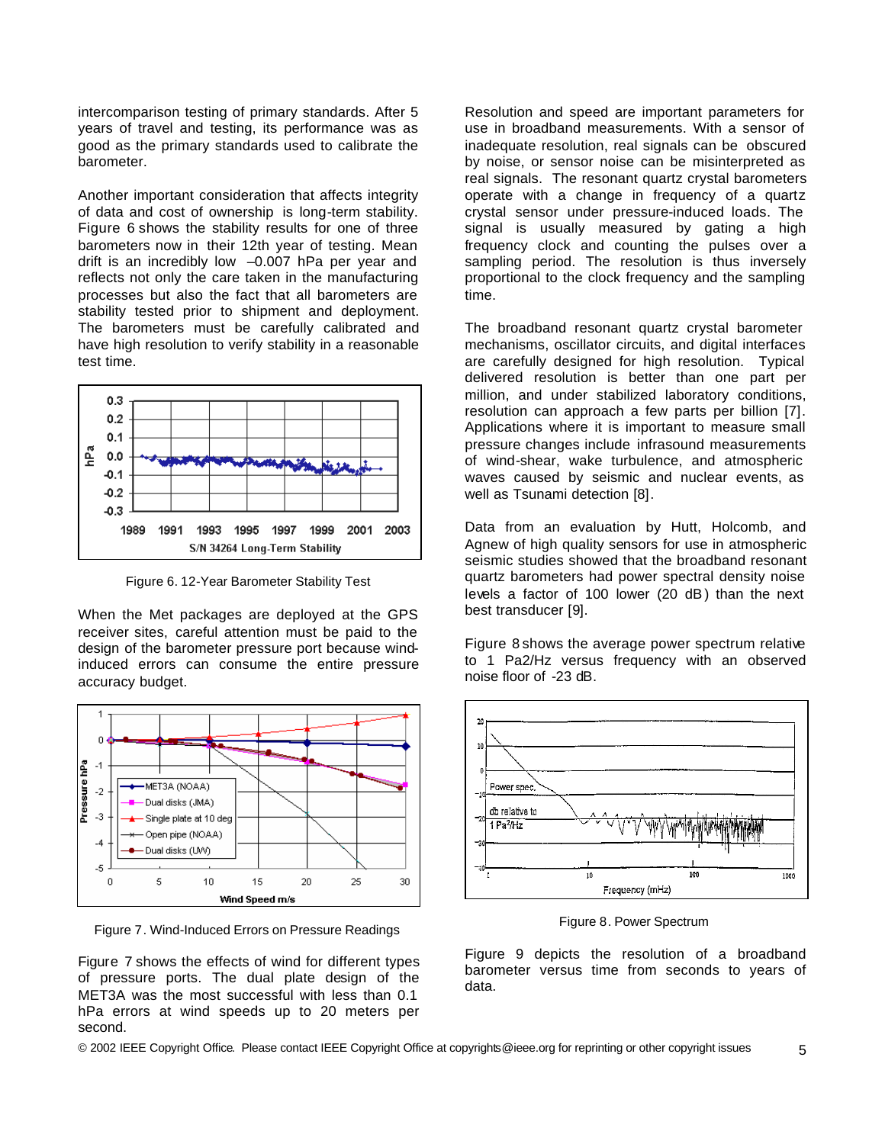intercomparison testing of primary standards. After 5 years of travel and testing, its performance was as good as the primary standards used to calibrate the barometer.

Another important consideration that affects integrity of data and cost of ownership is long-term stability. Figure 6 shows the stability results for one of three barometers now in their 12th year of testing. Mean drift is an incredibly low –0.007 hPa per year and reflects not only the care taken in the manufacturing processes but also the fact that all barometers are stability tested prior to shipment and deployment. The barometers must be carefully calibrated and have high resolution to verify stability in a reasonable test time.



Figure 6. 12-Year Barometer Stability Test

When the Met packages are deployed at the GPS receiver sites, careful attention must be paid to the design of the barometer pressure port because windinduced errors can consume the entire pressure accuracy budget.



Figure 7. Wind-Induced Errors on Pressure Readings

Figure 7 shows the effects of wind for different types of pressure ports. The dual plate design of the MET3A was the most successful with less than 0.1 hPa errors at wind speeds up to 20 meters per second.

Resolution and speed are important parameters for use in broadband measurements. With a sensor of inadequate resolution, real signals can be obscured by noise, or sensor noise can be misinterpreted as real signals. The resonant quartz crystal barometers operate with a change in frequency of a quartz crystal sensor under pressure-induced loads. The signal is usually measured by gating a high frequency clock and counting the pulses over a sampling period. The resolution is thus inversely proportional to the clock frequency and the sampling time.

The broadband resonant quartz crystal barometer mechanisms, oscillator circuits, and digital interfaces are carefully designed for high resolution. Typical delivered resolution is better than one part per million, and under stabilized laboratory conditions, resolution can approach a few parts per billion [7]. Applications where it is important to measure small pressure changes include infrasound measurements of wind-shear, wake turbulence, and atmospheric waves caused by seismic and nuclear events, as well as Tsunami detection [8].

Data from an evaluation by Hutt, Holcomb, and Agnew of high quality sensors for use in atmospheric seismic studies showed that the broadband resonant quartz barometers had power spectral density noise levels a factor of 100 lower (20 dB) than the next best transducer [9].

Figure 8 shows the average power spectrum relative to 1 Pa2/Hz versus frequency with an observed noise floor of -23 dB.



Figure 8. Power Spectrum

Figure 9 depicts the resolution of a broadband barometer versus time from seconds to years of data.

© 2002 IEEE Copyright Office. Please contact IEEE Copyright Office at copyrights@ieee.org for reprinting or other copyright issues 5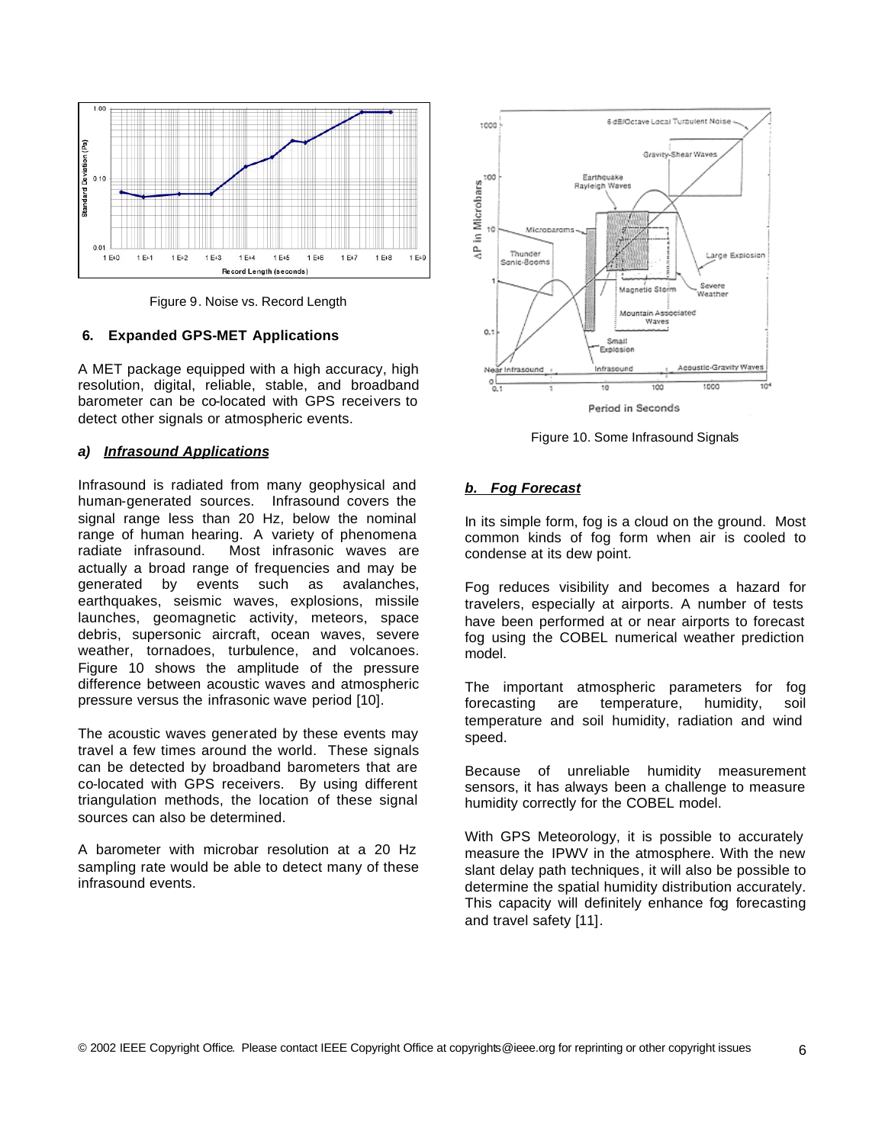

Figure 9. Noise vs. Record Length

## **6. Expanded GPS-MET Applications**

A MET package equipped with a high accuracy, high resolution, digital, reliable, stable, and broadband barometer can be co-located with GPS receivers to detect other signals or atmospheric events.

# *a) Infrasound Applications*

Infrasound is radiated from many geophysical and human-generated sources. Infrasound covers the signal range less than 20 Hz, below the nominal range of human hearing. A variety of phenomena radiate infrasound. Most infrasonic waves are actually a broad range of frequencies and may be generated by events such as avalanches, earthquakes, seismic waves, explosions, missile launches, geomagnetic activity, meteors, space debris, supersonic aircraft, ocean waves, severe weather, tornadoes, turbulence, and volcanoes. Figure 10 shows the amplitude of the pressure difference between acoustic waves and atmospheric pressure versus the infrasonic wave period [10].

The acoustic waves generated by these events may travel a few times around the world. These signals can be detected by broadband barometers that are co-located with GPS receivers. By using different triangulation methods, the location of these signal sources can also be determined.

A barometer with microbar resolution at a 20 Hz sampling rate would be able to detect many of these infrasound events.



Figure 10. Some Infrasound Signals

# *b. Fog Forecast*

In its simple form, fog is a cloud on the ground. Most common kinds of fog form when air is cooled to condense at its dew point.

Fog reduces visibility and becomes a hazard for travelers, especially at airports. A number of tests have been performed at or near airports to forecast fog using the COBEL numerical weather prediction model.

The important atmospheric parameters for fog forecasting are temperature, humidity, soil temperature and soil humidity, radiation and wind speed.

Because of unreliable humidity measurement sensors, it has always been a challenge to measure humidity correctly for the COBEL model.

With GPS Meteorology, it is possible to accurately measure the IPWV in the atmosphere. With the new slant delay path techniques, it will also be possible to determine the spatial humidity distribution accurately. This capacity will definitely enhance fog forecasting and travel safety [11].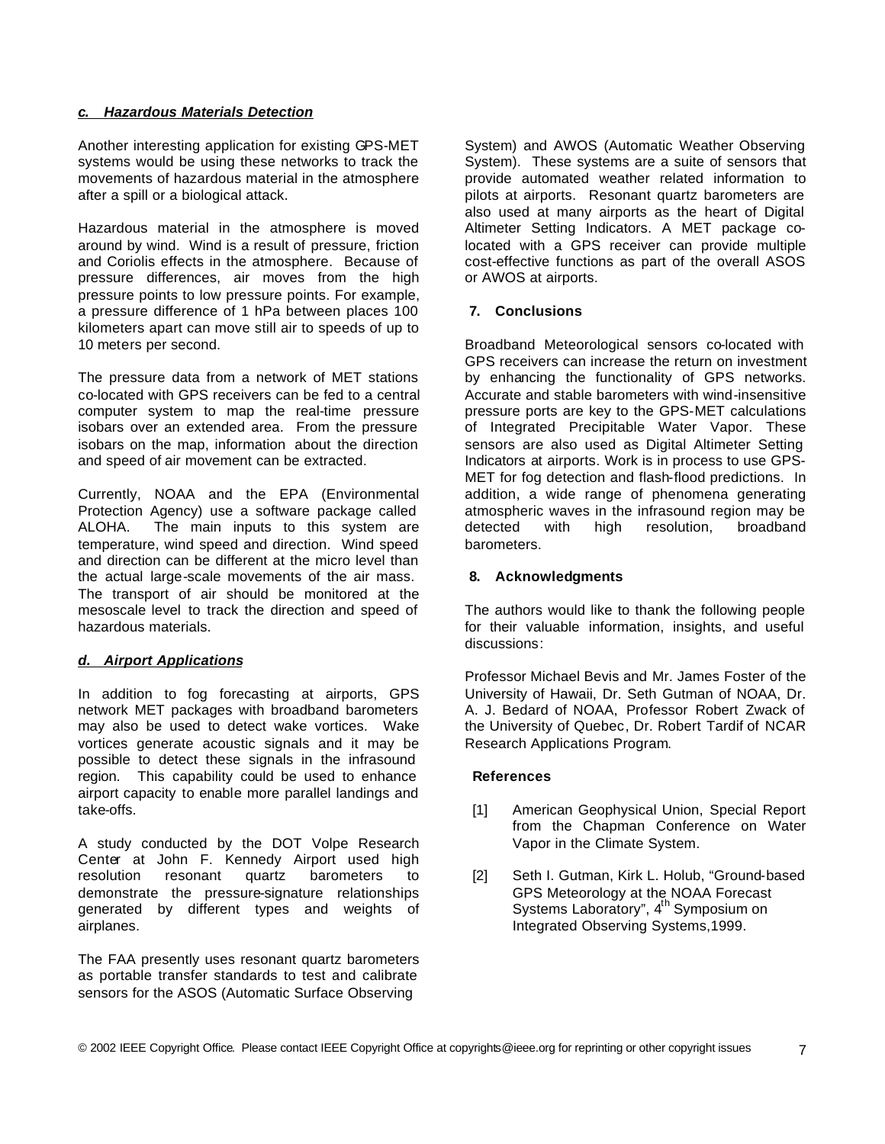### *c. Hazardous Materials Detection*

Another interesting application for existing GPS-MET systems would be using these networks to track the movements of hazardous material in the atmosphere after a spill or a biological attack.

Hazardous material in the atmosphere is moved around by wind. Wind is a result of pressure, friction and Coriolis effects in the atmosphere. Because of pressure differences, air moves from the high pressure points to low pressure points. For example, a pressure difference of 1 hPa between places 100 kilometers apart can move still air to speeds of up to 10 meters per second.

The pressure data from a network of MET stations co-located with GPS receivers can be fed to a central computer system to map the real-time pressure isobars over an extended area. From the pressure isobars on the map, information about the direction and speed of air movement can be extracted.

Currently, NOAA and the EPA (Environmental Protection Agency) use a software package called ALOHA. The main inputs to this system are temperature, wind speed and direction. Wind speed and direction can be different at the micro level than the actual large-scale movements of the air mass. The transport of air should be monitored at the mesoscale level to track the direction and speed of hazardous materials.

# *d. Airport Applications*

In addition to fog forecasting at airports, GPS network MET packages with broadband barometers may also be used to detect wake vortices. Wake vortices generate acoustic signals and it may be possible to detect these signals in the infrasound region. This capability could be used to enhance airport capacity to enable more parallel landings and take-offs.

A study conducted by the DOT Volpe Research Center at John F. Kennedy Airport used high resolution resonant quartz barometers to demonstrate the pressure-signature relationships generated by different types and weights of airplanes.

The FAA presently uses resonant quartz barometers as portable transfer standards to test and calibrate sensors for the ASOS (Automatic Surface Observing

System) and AWOS (Automatic Weather Observing System). These systems are a suite of sensors that provide automated weather related information to pilots at airports. Resonant quartz barometers are also used at many airports as the heart of Digital Altimeter Setting Indicators. A MET package colocated with a GPS receiver can provide multiple cost-effective functions as part of the overall ASOS or AWOS at airports.

## **7. Conclusions**

Broadband Meteorological sensors co-located with GPS receivers can increase the return on investment by enhancing the functionality of GPS networks. Accurate and stable barometers with wind-insensitive pressure ports are key to the GPS-MET calculations of Integrated Precipitable Water Vapor. These sensors are also used as Digital Altimeter Setting Indicators at airports. Work is in process to use GPS-MET for fog detection and flash-flood predictions. In addition, a wide range of phenomena generating atmospheric waves in the infrasound region may be detected with high resolution, broadband barometers.

## **8. Acknowledgments**

The authors would like to thank the following people for their valuable information, insights, and useful discussions:

Professor Michael Bevis and Mr. James Foster of the University of Hawaii, Dr. Seth Gutman of NOAA, Dr. A. J. Bedard of NOAA, Professor Robert Zwack of the University of Quebec, Dr. Robert Tardif of NCAR Research Applications Program.

#### **References**

- [1] American Geophysical Union, Special Report from the Chapman Conference on Water Vapor in the Climate System.
- [2] Seth I. Gutman, Kirk L. Holub, "Ground-based GPS Meteorology at the NOAA Forecast Systems Laboratory", 4<sup>th</sup> Symposium on Integrated Observing Systems,1999.